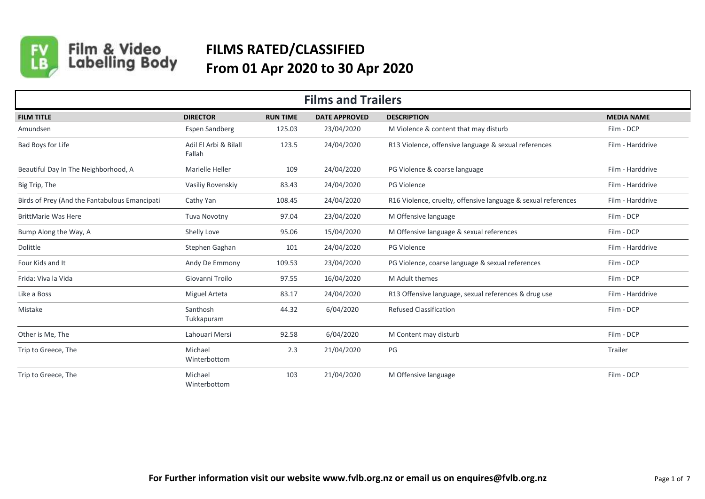

Film & Video<br>Labelling Body

## **FILMS RATED/CLASSIFIED From 01 Apr 2020 to 30 Apr 2020**

| <b>Films and Trailers</b>                     |                                 |                 |                      |                                                               |                   |  |  |
|-----------------------------------------------|---------------------------------|-----------------|----------------------|---------------------------------------------------------------|-------------------|--|--|
| <b>FILM TITLE</b>                             | <b>DIRECTOR</b>                 | <b>RUN TIME</b> | <b>DATE APPROVED</b> | <b>DESCRIPTION</b>                                            | <b>MEDIA NAME</b> |  |  |
| Amundsen                                      | <b>Espen Sandberg</b>           | 125.03          | 23/04/2020           | M Violence & content that may disturb                         | Film - DCP        |  |  |
| Bad Boys for Life                             | Adil El Arbi & Bilall<br>Fallah | 123.5           | 24/04/2020           | R13 Violence, offensive language & sexual references          | Film - Harddrive  |  |  |
| Beautiful Day In The Neighborhood, A          | Marielle Heller                 | 109             | 24/04/2020           | PG Violence & coarse language                                 | Film - Harddrive  |  |  |
| Big Trip, The                                 | Vasiliy Rovenskiy               | 83.43           | 24/04/2020           | PG Violence                                                   | Film - Harddrive  |  |  |
| Birds of Prey (And the Fantabulous Emancipati | Cathy Yan                       | 108.45          | 24/04/2020           | R16 Violence, cruelty, offensive language & sexual references | Film - Harddrive  |  |  |
| <b>BrittMarie Was Here</b>                    | Tuva Novotny                    | 97.04           | 23/04/2020           | M Offensive language                                          | Film - DCP        |  |  |
| Bump Along the Way, A                         | Shelly Love                     | 95.06           | 15/04/2020           | M Offensive language & sexual references                      | Film - DCP        |  |  |
| Dolittle                                      | Stephen Gaghan                  | 101             | 24/04/2020           | PG Violence                                                   | Film - Harddrive  |  |  |
| Four Kids and It                              | Andy De Emmony                  | 109.53          | 23/04/2020           | PG Violence, coarse language & sexual references              | Film - DCP        |  |  |
| Frida: Viva la Vida                           | Giovanni Troilo                 | 97.55           | 16/04/2020           | M Adult themes                                                | Film - DCP        |  |  |
| Like a Boss                                   | <b>Miguel Arteta</b>            | 83.17           | 24/04/2020           | R13 Offensive language, sexual references & drug use          | Film - Harddrive  |  |  |
| Mistake                                       | Santhosh<br>Tukkapuram          | 44.32           | 6/04/2020            | <b>Refused Classification</b>                                 | Film - DCP        |  |  |
| Other is Me, The                              | Lahouari Mersi                  | 92.58           | 6/04/2020            | M Content may disturb                                         | Film - DCP        |  |  |
| Trip to Greece, The                           | Michael<br>Winterbottom         | 2.3             | 21/04/2020           | PG                                                            | Trailer           |  |  |
| Trip to Greece, The                           | Michael<br>Winterbottom         | 103             | 21/04/2020           | M Offensive language                                          | Film - DCP        |  |  |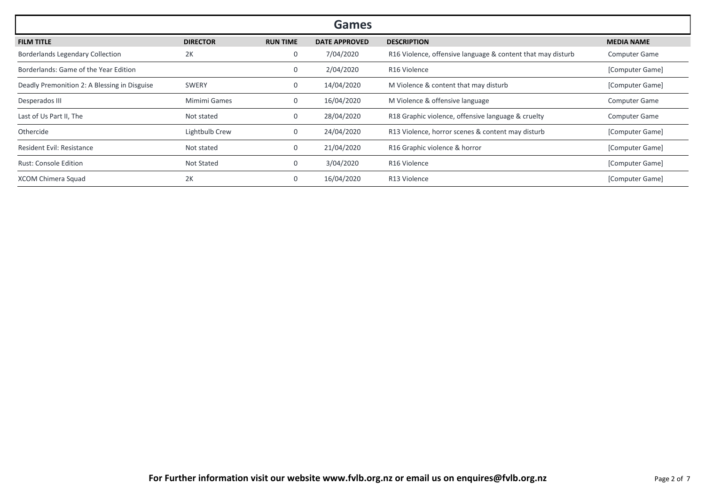|                                              |                 |                 | Games                |                                                             |                      |
|----------------------------------------------|-----------------|-----------------|----------------------|-------------------------------------------------------------|----------------------|
| <b>FILM TITLE</b>                            | <b>DIRECTOR</b> | <b>RUN TIME</b> | <b>DATE APPROVED</b> | <b>DESCRIPTION</b>                                          | <b>MEDIA NAME</b>    |
| Borderlands Legendary Collection             | 2K              | 0               | 7/04/2020            | R16 Violence, offensive language & content that may disturb | <b>Computer Game</b> |
| Borderlands: Game of the Year Edition        |                 | 0               | 2/04/2020            | R <sub>16</sub> Violence                                    | [Computer Game]      |
| Deadly Premonition 2: A Blessing in Disguise | SWERY           | 0               | 14/04/2020           | M Violence & content that may disturb                       | [Computer Game]      |
| Desperados III                               | Mimimi Games    | 0               | 16/04/2020           | M Violence & offensive language                             | <b>Computer Game</b> |
| Last of Us Part II, The                      | Not stated      | 0               | 28/04/2020           | R18 Graphic violence, offensive language & cruelty          | <b>Computer Game</b> |
| Othercide                                    | Lightbulb Crew  | 0               | 24/04/2020           | R13 Violence, horror scenes & content may disturb           | [Computer Game]      |
| <b>Resident Evil: Resistance</b>             | Not stated      | 0               | 21/04/2020           | R16 Graphic violence & horror                               | [Computer Game]      |
| <b>Rust: Console Edition</b>                 | Not Stated      | 0               | 3/04/2020            | R16 Violence                                                | [Computer Game]      |
| XCOM Chimera Squad                           | 2K              | 0               | 16/04/2020           | R13 Violence                                                | [Computer Game]      |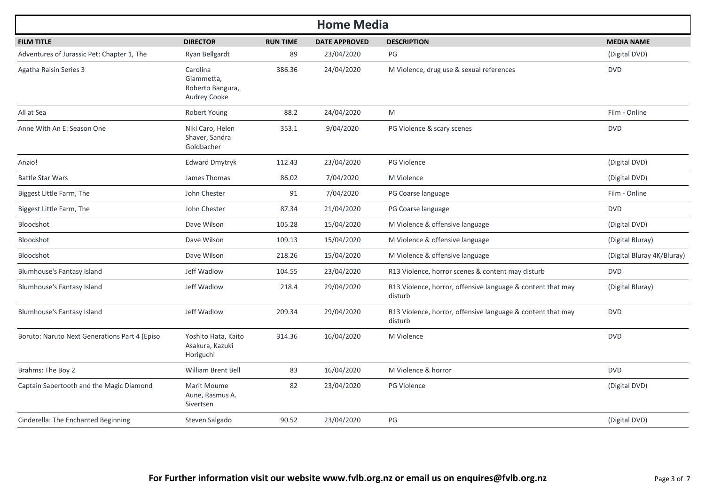| <b>Home Media</b>                             |                                                                   |                 |                      |                                                                        |                            |  |
|-----------------------------------------------|-------------------------------------------------------------------|-----------------|----------------------|------------------------------------------------------------------------|----------------------------|--|
| <b>FILM TITLE</b>                             | <b>DIRECTOR</b>                                                   | <b>RUN TIME</b> | <b>DATE APPROVED</b> | <b>DESCRIPTION</b>                                                     | <b>MEDIA NAME</b>          |  |
| Adventures of Jurassic Pet: Chapter 1, The    | Ryan Bellgardt                                                    | 89              | 23/04/2020           | PG                                                                     | (Digital DVD)              |  |
| Agatha Raisin Series 3                        | Carolina<br>Giammetta,<br>Roberto Bangura,<br><b>Audrey Cooke</b> | 386.36          | 24/04/2020           | M Violence, drug use & sexual references                               | <b>DVD</b>                 |  |
| All at Sea                                    | Robert Young                                                      | 88.2            | 24/04/2020           | M                                                                      | Film - Online              |  |
| Anne With An E: Season One                    | Niki Caro, Helen<br>Shaver, Sandra<br>Goldbacher                  | 353.1           | 9/04/2020            | PG Violence & scary scenes                                             | <b>DVD</b>                 |  |
| Anzio!                                        | <b>Edward Dmytryk</b>                                             | 112.43          | 23/04/2020           | <b>PG Violence</b>                                                     | (Digital DVD)              |  |
| <b>Battle Star Wars</b>                       | James Thomas                                                      | 86.02           | 7/04/2020            | M Violence                                                             | (Digital DVD)              |  |
| Biggest Little Farm, The                      | John Chester                                                      | 91              | 7/04/2020            | PG Coarse language                                                     | Film - Online              |  |
| Biggest Little Farm, The                      | John Chester                                                      | 87.34           | 21/04/2020           | PG Coarse language                                                     | <b>DVD</b>                 |  |
| Bloodshot                                     | Dave Wilson                                                       | 105.28          | 15/04/2020           | M Violence & offensive language                                        | (Digital DVD)              |  |
| Bloodshot                                     | Dave Wilson                                                       | 109.13          | 15/04/2020           | M Violence & offensive language                                        | (Digital Bluray)           |  |
| Bloodshot                                     | Dave Wilson                                                       | 218.26          | 15/04/2020           | M Violence & offensive language                                        | (Digital Bluray 4K/Bluray) |  |
| Blumhouse's Fantasy Island                    | Jeff Wadlow                                                       | 104.55          | 23/04/2020           | R13 Violence, horror scenes & content may disturb                      | <b>DVD</b>                 |  |
| Blumhouse's Fantasy Island                    | Jeff Wadlow                                                       | 218.4           | 29/04/2020           | R13 Violence, horror, offensive language & content that may<br>disturb | (Digital Bluray)           |  |
| Blumhouse's Fantasy Island                    | Jeff Wadlow                                                       | 209.34          | 29/04/2020           | R13 Violence, horror, offensive language & content that may<br>disturb | <b>DVD</b>                 |  |
| Boruto: Naruto Next Generations Part 4 (Episo | Yoshito Hata, Kaito<br>Asakura, Kazuki<br>Horiguchi               | 314.36          | 16/04/2020           | M Violence                                                             | <b>DVD</b>                 |  |
| Brahms: The Boy 2                             | <b>William Brent Bell</b>                                         | 83              | 16/04/2020           | M Violence & horror                                                    | <b>DVD</b>                 |  |
| Captain Sabertooth and the Magic Diamond      | Marit Moume<br>Aune, Rasmus A.<br>Sivertsen                       | 82              | 23/04/2020           | <b>PG Violence</b>                                                     | (Digital DVD)              |  |
| Cinderella: The Enchanted Beginning           | Steven Salgado                                                    | 90.52           | 23/04/2020           | PG                                                                     | (Digital DVD)              |  |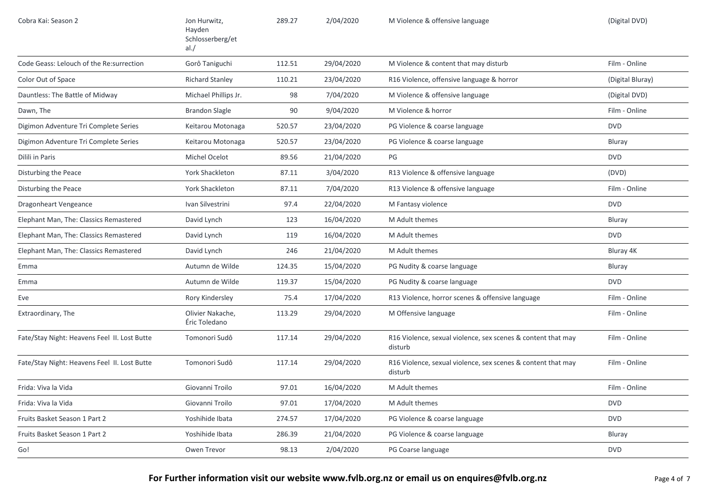| Cobra Kai: Season 2                          | Jon Hurwitz,<br>Hayden<br>Schlosserberg/et<br>al./ | 289.27 | 2/04/2020  | M Violence & offensive language                                         | (Digital DVD)    |
|----------------------------------------------|----------------------------------------------------|--------|------------|-------------------------------------------------------------------------|------------------|
| Code Geass: Lelouch of the Re: surrection    | Gorô Taniguchi                                     | 112.51 | 29/04/2020 | M Violence & content that may disturb                                   | Film - Online    |
| Color Out of Space                           | <b>Richard Stanley</b>                             | 110.21 | 23/04/2020 | R16 Violence, offensive language & horror                               | (Digital Bluray) |
| Dauntless: The Battle of Midway              | Michael Phillips Jr.                               | 98     | 7/04/2020  | M Violence & offensive language                                         | (Digital DVD)    |
| Dawn, The                                    | <b>Brandon Slagle</b>                              | 90     | 9/04/2020  | M Violence & horror                                                     | Film - Online    |
| Digimon Adventure Tri Complete Series        | Keitarou Motonaga                                  | 520.57 | 23/04/2020 | PG Violence & coarse language                                           | <b>DVD</b>       |
| Digimon Adventure Tri Complete Series        | Keitarou Motonaga                                  | 520.57 | 23/04/2020 | PG Violence & coarse language                                           | Bluray           |
| Dilili in Paris                              | Michel Ocelot                                      | 89.56  | 21/04/2020 | PG                                                                      | <b>DVD</b>       |
| Disturbing the Peace                         | York Shackleton                                    | 87.11  | 3/04/2020  | R13 Violence & offensive language                                       | (DVD)            |
| Disturbing the Peace                         | York Shackleton                                    | 87.11  | 7/04/2020  | R13 Violence & offensive language                                       | Film - Online    |
| Dragonheart Vengeance                        | Ivan Silvestrini                                   | 97.4   | 22/04/2020 | M Fantasy violence                                                      | <b>DVD</b>       |
| Elephant Man, The: Classics Remastered       | David Lynch                                        | 123    | 16/04/2020 | M Adult themes                                                          | Bluray           |
| Elephant Man, The: Classics Remastered       | David Lynch                                        | 119    | 16/04/2020 | M Adult themes                                                          | <b>DVD</b>       |
| Elephant Man, The: Classics Remastered       | David Lynch                                        | 246    | 21/04/2020 | M Adult themes                                                          | Bluray 4K        |
| Emma                                         | Autumn de Wilde                                    | 124.35 | 15/04/2020 | PG Nudity & coarse language                                             | Bluray           |
| Emma                                         | Autumn de Wilde                                    | 119.37 | 15/04/2020 | PG Nudity & coarse language                                             | <b>DVD</b>       |
| Eve                                          | Rory Kindersley                                    | 75.4   | 17/04/2020 | R13 Violence, horror scenes & offensive language                        | Film - Online    |
| Extraordinary, The                           | Olivier Nakache,<br>Éric Toledano                  | 113.29 | 29/04/2020 | M Offensive language                                                    | Film - Online    |
| Fate/Stay Night: Heavens Feel II. Lost Butte | Tomonori Sudô                                      | 117.14 | 29/04/2020 | R16 Violence, sexual violence, sex scenes & content that may<br>disturb | Film - Online    |
| Fate/Stay Night: Heavens Feel II. Lost Butte | Tomonori Sudô                                      | 117.14 | 29/04/2020 | R16 Violence, sexual violence, sex scenes & content that may<br>disturb | Film - Online    |
| Frida: Viva la Vida                          | Giovanni Troilo                                    | 97.01  | 16/04/2020 | M Adult themes                                                          | Film - Online    |
| Frida: Viva la Vida                          | Giovanni Troilo                                    | 97.01  | 17/04/2020 | M Adult themes                                                          | <b>DVD</b>       |
| Fruits Basket Season 1 Part 2                | Yoshihide Ibata                                    | 274.57 | 17/04/2020 | PG Violence & coarse language                                           | <b>DVD</b>       |
| Fruits Basket Season 1 Part 2                | Yoshihide Ibata                                    | 286.39 | 21/04/2020 | PG Violence & coarse language                                           | Bluray           |
| Go!                                          | Owen Trevor                                        | 98.13  | 2/04/2020  | PG Coarse language                                                      | <b>DVD</b>       |
|                                              |                                                    |        |            |                                                                         |                  |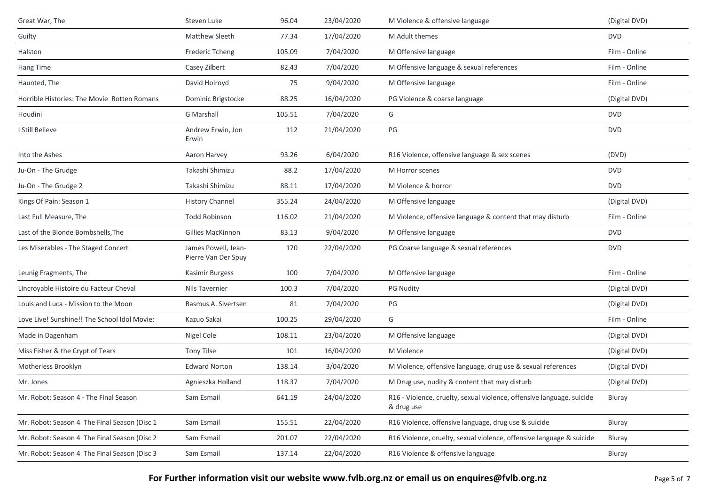| Great War, The                               | Steven Luke                                | 96.04  | 23/04/2020 | M Violence & offensive language                                                     | (Digital DVD) |
|----------------------------------------------|--------------------------------------------|--------|------------|-------------------------------------------------------------------------------------|---------------|
| Guilty                                       | Matthew Sleeth                             | 77.34  | 17/04/2020 | M Adult themes                                                                      | <b>DVD</b>    |
| Halston                                      | Frederic Tcheng                            | 105.09 | 7/04/2020  | M Offensive language                                                                | Film - Online |
| Hang Time                                    | Casey Zilbert                              | 82.43  | 7/04/2020  | M Offensive language & sexual references                                            | Film - Online |
| Haunted, The                                 | David Holroyd                              | 75     | 9/04/2020  | M Offensive language                                                                | Film - Online |
| Horrible Histories: The Movie Rotten Romans  | Dominic Brigstocke                         | 88.25  | 16/04/2020 | PG Violence & coarse language                                                       | (Digital DVD) |
| Houdini                                      | <b>G</b> Marshall                          | 105.51 | 7/04/2020  | G                                                                                   | <b>DVD</b>    |
| I Still Believe                              | Andrew Erwin, Jon<br>Erwin                 | 112    | 21/04/2020 | PG                                                                                  | <b>DVD</b>    |
| Into the Ashes                               | Aaron Harvey                               | 93.26  | 6/04/2020  | R16 Violence, offensive language & sex scenes                                       | (DVD)         |
| Ju-On - The Grudge                           | Takashi Shimizu                            | 88.2   | 17/04/2020 | M Horror scenes                                                                     | <b>DVD</b>    |
| Ju-On - The Grudge 2                         | Takashi Shimizu                            | 88.11  | 17/04/2020 | M Violence & horror                                                                 | <b>DVD</b>    |
| Kings Of Pain: Season 1                      | <b>History Channel</b>                     | 355.24 | 24/04/2020 | M Offensive language                                                                | (Digital DVD) |
| Last Full Measure, The                       | <b>Todd Robinson</b>                       | 116.02 | 21/04/2020 | M Violence, offensive language & content that may disturb                           | Film - Online |
| Last of the Blonde Bombshells, The           | <b>Gillies MacKinnon</b>                   | 83.13  | 9/04/2020  | M Offensive language                                                                | <b>DVD</b>    |
| Les Miserables - The Staged Concert          | James Powell, Jean-<br>Pierre Van Der Spuy | 170    | 22/04/2020 | PG Coarse language & sexual references                                              | <b>DVD</b>    |
| Leunig Fragments, The                        | Kasimir Burgess                            | 100    | 7/04/2020  | M Offensive language                                                                | Film - Online |
| LIncroyable Histoire du Facteur Cheval       | Nils Tavernier                             | 100.3  | 7/04/2020  | <b>PG Nudity</b>                                                                    | (Digital DVD) |
| Louis and Luca - Mission to the Moon         | Rasmus A. Sivertsen                        | 81     | 7/04/2020  | PG                                                                                  | (Digital DVD) |
| Love Live! Sunshine!! The School Idol Movie: | Kazuo Sakai                                | 100.25 | 29/04/2020 | G                                                                                   | Film - Online |
| Made in Dagenham                             | Nigel Cole                                 | 108.11 | 23/04/2020 | M Offensive language                                                                | (Digital DVD) |
| Miss Fisher & the Crypt of Tears             | Tony Tilse                                 | 101    | 16/04/2020 | M Violence                                                                          | (Digital DVD) |
| Motherless Brooklyn                          | <b>Edward Norton</b>                       | 138.14 | 3/04/2020  | M Violence, offensive language, drug use & sexual references                        | (Digital DVD) |
| Mr. Jones                                    | Agnieszka Holland                          | 118.37 | 7/04/2020  | M Drug use, nudity & content that may disturb                                       | (Digital DVD) |
| Mr. Robot: Season 4 - The Final Season       | Sam Esmail                                 | 641.19 | 24/04/2020 | R16 - Violence, cruelty, sexual violence, offensive language, suicide<br>& drug use | Bluray        |
| Mr. Robot: Season 4 The Final Season (Disc 1 | Sam Esmail                                 | 155.51 | 22/04/2020 | R16 Violence, offensive language, drug use & suicide                                | Bluray        |
| Mr. Robot: Season 4 The Final Season (Disc 2 | Sam Esmail                                 | 201.07 | 22/04/2020 | R16 Violence, cruelty, sexual violence, offensive language & suicide                | Bluray        |
| Mr. Robot: Season 4 The Final Season (Disc 3 | Sam Esmail                                 | 137.14 | 22/04/2020 | R16 Violence & offensive language                                                   | Bluray        |

**For Further information visit our website www.fvlb.org.nz or email us on enquires@fvlb.org.nz** Page 5 of 7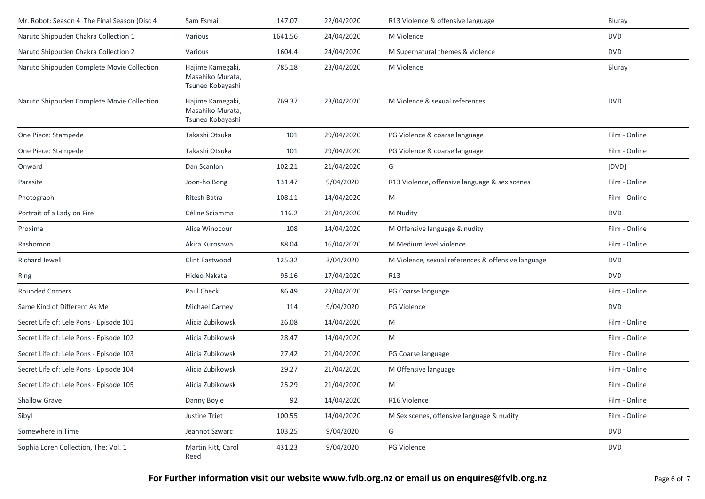| Mr. Robot: Season 4 The Final Season (Disc 4 | Sam Esmail                                               | 147.07  | 22/04/2020 | R13 Violence & offensive language                  | Bluray        |
|----------------------------------------------|----------------------------------------------------------|---------|------------|----------------------------------------------------|---------------|
| Naruto Shippuden Chakra Collection 1         | Various                                                  | 1641.56 | 24/04/2020 | M Violence                                         | <b>DVD</b>    |
| Naruto Shippuden Chakra Collection 2         | Various                                                  | 1604.4  | 24/04/2020 | M Supernatural themes & violence                   | <b>DVD</b>    |
| Naruto Shippuden Complete Movie Collection   | Hajime Kamegaki,<br>Masahiko Murata,<br>Tsuneo Kobayashi | 785.18  | 23/04/2020 | M Violence                                         | Bluray        |
| Naruto Shippuden Complete Movie Collection   | Hajime Kamegaki,<br>Masahiko Murata,<br>Tsuneo Kobayashi | 769.37  | 23/04/2020 | M Violence & sexual references                     | <b>DVD</b>    |
| One Piece: Stampede                          | Takashi Otsuka                                           | 101     | 29/04/2020 | PG Violence & coarse language                      | Film - Online |
| One Piece: Stampede                          | Takashi Otsuka                                           | 101     | 29/04/2020 | PG Violence & coarse language                      | Film - Online |
| Onward                                       | Dan Scanlon                                              | 102.21  | 21/04/2020 | G                                                  | [DVD]         |
| Parasite                                     | Joon-ho Bong                                             | 131.47  | 9/04/2020  | R13 Violence, offensive language & sex scenes      | Film - Online |
| Photograph                                   | Ritesh Batra                                             | 108.11  | 14/04/2020 | M                                                  | Film - Online |
| Portrait of a Lady on Fire                   | Céline Sciamma                                           | 116.2   | 21/04/2020 | M Nudity                                           | <b>DVD</b>    |
| Proxima                                      | Alice Winocour                                           | 108     | 14/04/2020 | M Offensive language & nudity                      | Film - Online |
| Rashomon                                     | Akira Kurosawa                                           | 88.04   | 16/04/2020 | M Medium level violence                            | Film - Online |
| <b>Richard Jewell</b>                        | Clint Eastwood                                           | 125.32  | 3/04/2020  | M Violence, sexual references & offensive language | <b>DVD</b>    |
| Ring                                         | Hideo Nakata                                             | 95.16   | 17/04/2020 | R13                                                | <b>DVD</b>    |
| <b>Rounded Corners</b>                       | Paul Check                                               | 86.49   | 23/04/2020 | PG Coarse language                                 | Film - Online |
| Same Kind of Different As Me                 | <b>Michael Carney</b>                                    | 114     | 9/04/2020  | PG Violence                                        | <b>DVD</b>    |
| Secret Life of: Lele Pons - Episode 101      | Alicia Zubikowsk                                         | 26.08   | 14/04/2020 | M                                                  | Film - Online |
| Secret Life of: Lele Pons - Episode 102      | Alicia Zubikowsk                                         | 28.47   | 14/04/2020 | M                                                  | Film - Online |
| Secret Life of: Lele Pons - Episode 103      | Alicia Zubikowsk                                         | 27.42   | 21/04/2020 | PG Coarse language                                 | Film - Online |
| Secret Life of: Lele Pons - Episode 104      | Alicia Zubikowsk                                         | 29.27   | 21/04/2020 | M Offensive language                               | Film - Online |
| Secret Life of: Lele Pons - Episode 105      | Alicia Zubikowsk                                         | 25.29   | 21/04/2020 | M                                                  | Film - Online |
| <b>Shallow Grave</b>                         | Danny Boyle                                              | 92      | 14/04/2020 | R16 Violence                                       | Film - Online |
| Sibyl                                        | Justine Triet                                            | 100.55  | 14/04/2020 | M Sex scenes, offensive language & nudity          | Film - Online |
| Somewhere in Time                            | Jeannot Szwarc                                           | 103.25  | 9/04/2020  | G                                                  | <b>DVD</b>    |
| Sophia Loren Collection, The: Vol. 1         | Martin Ritt, Carol<br>Reed                               | 431.23  | 9/04/2020  | PG Violence                                        | <b>DVD</b>    |